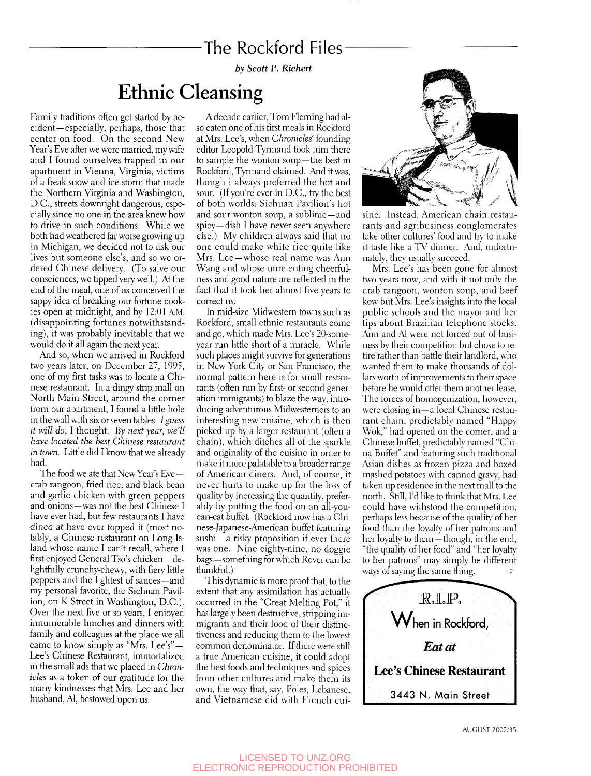## The Rockford Files

*by Scott P. Richert* 

## Ethnic Cleansing

Family traditions often get started by accident—especially, perhaps, those that center on food. On the second New Year's Eve after we were married, my wife and I found ourselves trapped in our apartment in Vienna, Virginia, victims of a freak snow and ice storm that made the Northern Virginia and Washington, D.C., streets downright dangerous, especially since no one in the area knew how to drive in such conditions. While we both had weathered far worse growing up in Michigan, we decided not to risk our lives but someone else's, and so we ordered Chinese delivery. (To salve our consciences, we tipped very well.) At the end of the meal, one of us conceived the sappy idea of breaking our fortune cookies open at midnight, and by 12:01 A.M. (disappointing fortunes notwithstanding), it was probably inevitable that we would do it all again the next year.

And so, when we arrived in Rockford two years later, on December 27, 1995, one of my first tasks was to locate a Chinese restaurant. In a dingy strip mall on North Main Street, around the corner from our apartment, I found a little hole in the wall with six or seven tables. *I guess it will do,* I thought. *By next year, we'll have located the best Chinese restaurant in town.* Little did I know that we already had.

The food we ate that New Year's Eve crab rangoon, fried rice, and black bean and garlic chicken with green peppers and onions—was not the best Chinese I have ever had, but few restaurants I have dined at have ever topped it (most notably, a Chinese restaurant on Long Island whose name I can't recall, where I first enjoyed General Tso's chicken—delightfully crunchy-chewy, with fiery little peppers and the lightest of sauces—and my personal favorite, the Sichuan Pavilion, on K Street in Washington, D.C.). Over the next five or so years, I enjoyed innumerable lunches and dinners with family and colleagues at the place we all came to know simply as "Mrs. Lee's" — Lee's Chinese Restaurant, immortalized in the small ads that we placed in *Chronicles* as a token of our gratitude for the many kindnesses that Mrs. Lee and her husband, Al, bestowed upon us.

A decade earlier, Tom Fleming had also eaten one of his first meals in Rockford at Mrs. Lee's, when *Chronicles'* founding editor Leopold Tyrmand took him there to sample the wonton soup—the best in Rockford, Tyrmand claimed. And it was, though I always preferred the hot and sour. (If you're ever in D.C., try the best of both worlds: Sichuan Pavilion's hot and sour wonton soup, a sublime —and spicy—dish I have never seen anywhere else.) My children always said that no one could make white rice quite like Mrs. Lee —whose real name was Ann Wang and whose unrelenting cheerfulness and good nature are reflected in the fact that it took her almost five years to correct us.

In mid-size Midwestern towns such as Rockford, small ethnic restaurants come and go, which made Mrs. Lee's 20-someyear run little short of a miracle. While such places might survive for generations in New York City or San Francisco, the normal pattern here is for small restaurants (often run by first- or second-generation immigrants) to blaze the way, introducing adventurous Midwesterners to an interesting new cuisine, which is then picked up by a larger restaurant (often a chain), which ditches all of the sparkle and originality of the cuisine in order to make it more palatable to a broader range of American diners. And, of course, it never hurts to make up for the loss of quality by increasing the quantity, preferably by putting the food on an all-youcan-eat buffet. (Rockford now has a Chinese-Japanese-American buffet featuring sushi—a risky proposition if ever there was one. Nine eighty-nine, no doggie bags—something for which Rover can be thankful.)

This dynamic is more proof that, to the extent that any assimilation has actually occurred in the "Great Melting Pot," it has largely been destructive, stripping immigrants and their food of their distinctiveness and reducing them to the lowest common denominator. If there were still a true American cuisine, it could adopt the best foods and techniques and spices from other cultures and make them its own, the way that, say, Poles, Lebanese, and Vietnamese did with French cui-



sine. Instead, American chain restaurants and agribusiness conglomerates take other cultures' food and try to make it taste like a TV dinner. And, unfortunately, they usually succeed.

Mrs. Lee's has been gone for almost two years now, and with it not only the crab rangoon, wonton soup, and beef kow but Mrs. Lee's insights into the local public schools and the mayor and her tips about Brazilian telephone stocks. Ann and Al were not forced out of business by their competition but chose to retire rather than battle their landlord, who wanted them to make thousands of dollars worth of improvements to their space before he would offer them another lease. The forces of homogenization, however, were closing in—a local Chinese restaurant chain, predictably named "Happy Wok," had opened on the corner, and a Chinese buffet, predictably named "China Buffet" and featuring such traditional Asian dishes as frozen pizza and boxed mashed potatoes with canned gravy, had taken up residence in the next mall to the north. Still, I'd like to think that Mrs. Lee could have withstood the competition, perhaps less because of the quality of her food than the loyalty of her patrons and her loyalty to them—though, in the end, "the quality of her food" and "her loyalt}' to her patrons" may simply be different ways of saying the same thing.